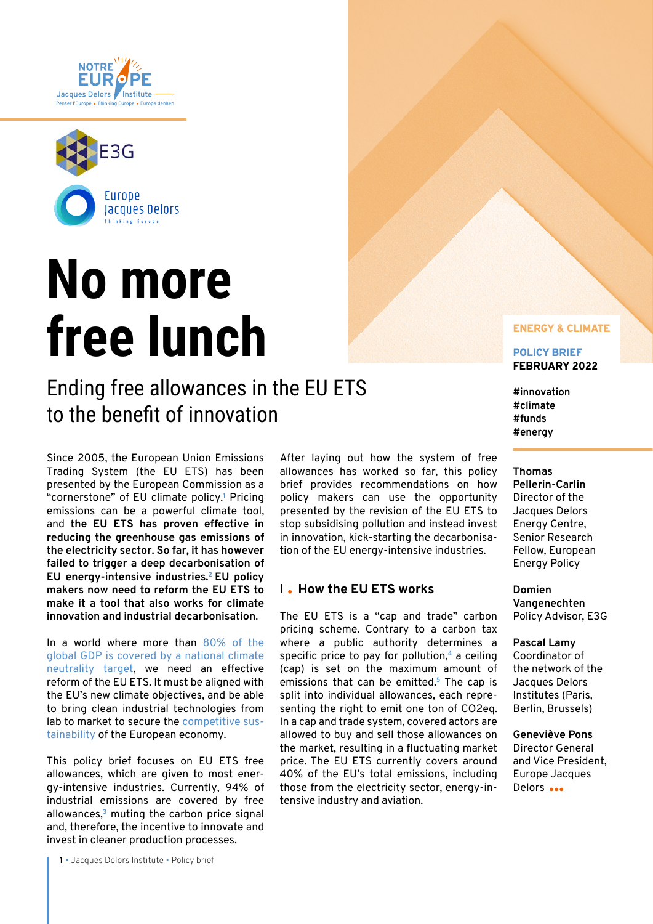<span id="page-0-0"></span>



# **No more free lunch**

# Ending free allowances in the EU ETS to the benefit of innovation

Since 2005, the European Union Emissions Trading System (the EU ETS) has been presented by the European Commission as a "cornerstone" of EU climate policy.**[1](#page-5-0)** Pricing emissions can be a powerful climate tool, and **the EU ETS has proven effective in reducing the greenhouse gas emissions of the electricity sector. So far, it has however failed to trigger a deep decarbonisation of EU energy-intensive industries[.2](#page-5-0) EU policy makers now need to reform the EU ETS to make it a tool that also works for climate innovation and industrial decarbonisation**.

In a world where more than [80% of the](https://institutdelors.eu/en/publications/5-years-after-the-paris-agreement-the-largest-global-economies-are-engaging-in-the-race-towards-climate-neutrality/)  [global GDP is covered by a national climate](https://institutdelors.eu/en/publications/5-years-after-the-paris-agreement-the-largest-global-economies-are-engaging-in-the-race-towards-climate-neutrality/)  [neutrality target,](https://institutdelors.eu/en/publications/5-years-after-the-paris-agreement-the-largest-global-economies-are-engaging-in-the-race-towards-climate-neutrality/) we need an effective reform of the EU ETS. It must be aligned with the EU's new climate objectives, and be able to bring clean industrial technologies from lab to market to secure the [competitive sus](https://www.euractiv.com/section/energy-environment/opinion/competitive-sustainability-time-to-realise-the-eus-new-approach/)[tainability](https://www.euractiv.com/section/energy-environment/opinion/competitive-sustainability-time-to-realise-the-eus-new-approach/) of the European economy.

This policy brief focuses on EU ETS free allowances, which are given to most energy-intensive industries. Currently, 94% of industrial emissions are covered by free allowances,**[3](#page-5-0)** muting the carbon price signal and, therefore, the incentive to innovate and invest in cleaner production processes.

**1** • Jacques Delors Institute • Policy brief

After laying out how the system of free allowances has worked so far, this policy brief provides recommendations on how policy makers can use the opportunity presented by the revision of the EU ETS to stop subsidising pollution and instead invest in innovation, kick-starting the decarbonisation of the EU energy-intensive industries.

# **I How the EU ETS works**

The EU ETS is a "cap and trade" carbon pricing scheme. Contrary to a carbon tax where a public authority determines a specific price to pay for pollution,**[4](#page-5-0)** a ceiling (cap) is set on the maximum amount of emissions that can be emitted.**[5](#page-5-0)** The cap is split into individual allowances, each representing the right to emit one ton of CO2eq. In a cap and trade system, covered actors are allowed to buy and sell those allowances on the market, resulting in a fluctuating market price. The EU ETS currently covers around 40% of the EU's total emissions, including those from the electricity sector, energy-intensive industry and aviation.

### ENERGY & CLIMATE

POLICY BRIEF FEBRUARY 2022

**#innovation #climate #funds #energy**

#### **Thomas**

**Pellerin-Carlin** Director of the Jacques Delors Energy Centre, Senior Research Fellow, European Energy Policy

**Domien Vangenechten** Policy Advisor, E3G

**Pascal Lamy** Coordinator of the network of the Jacques Delors Institutes (Paris, Berlin, Brussels)

**Geneviève Pons** Director General and Vice President, Europe Jacques Delors ...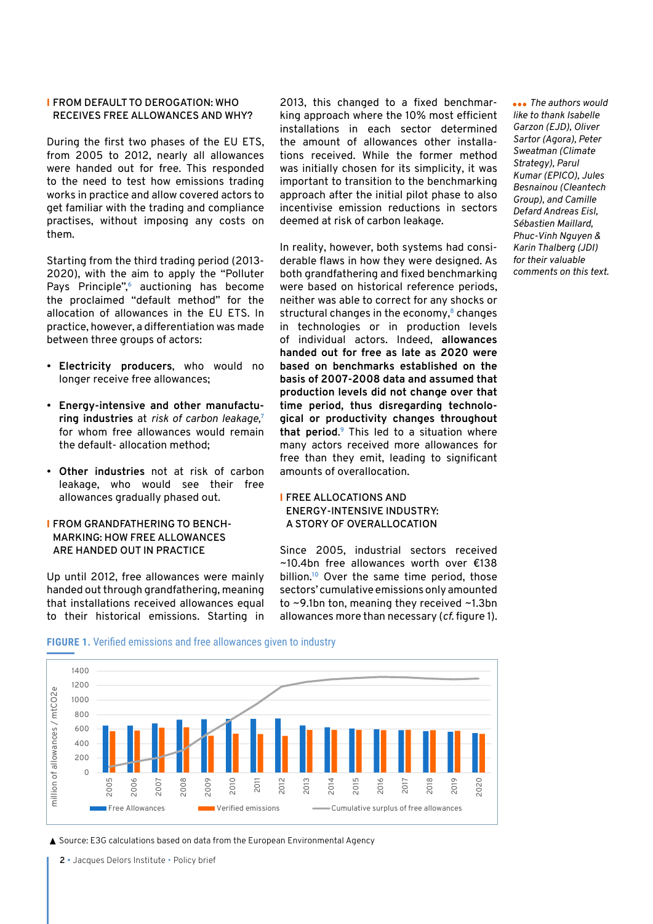# <span id="page-1-0"></span>I **FROM DEFAULT TO DEROGATION: WHO RECEIVES FREE ALLOWANCES AND WHY?**

During the first two phases of the EU ETS, from 2005 to 2012, nearly all allowances were handed out for free. This responded to the need to test how emissions trading works in practice and allow covered actors to get familiar with the trading and compliance practises, without imposing any costs on them.

Starting from the third trading period (2013- 2020), with the aim to apply the "Polluter Pays Principle",**[6](#page-5-0)** auctioning has become the proclaimed "default method" for the allocation of allowances in the EU ETS. In practice, however, a differentiation was made between three groups of actors:

- **Electricity producers**, who would no longer receive free allowances;
- **Energy-intensive and other manufacturing industries** at *risk of carbon leakage,***[7](#page-5-0)** for whom free allowances would remain the default- allocation method;
- **Other industries** not at risk of carbon leakage, who would see their free allowances gradually phased out.

# I **FROM GRANDFATHERING TO BENCH-MARKING: HOW FREE ALLOWANCES ARE HANDED OUT IN PRACTICE**

Up until 2012, free allowances were mainly handed out through grandfathering, meaning that installations received allowances equal to their historical emissions. Starting in

2013, this changed to a fixed benchmarking approach where the 10% most efficient installations in each sector determined the amount of allowances other installations received. While the former method was initially chosen for its simplicity, it was important to transition to the benchmarking approach after the initial pilot phase to also incentivise emission reductions in sectors deemed at risk of carbon leakage.

In reality, however, both systems had considerable flaws in how they were designed. As both grandfathering and fixed benchmarking were based on historical reference periods, neither was able to correct for any shocks or structural changes in the economy,**[8](#page-5-0)** changes in technologies or in production levels of individual actors. Indeed, **allowances handed out for free as late as 2020 were based on benchmarks established on the basis of 2007-2008 data and assumed that production levels did not change over that time period, thus disregarding technological or productivity changes throughout that period**. **[9](#page-5-0)** This led to a situation where many actors received more allowances for free than they emit, leading to significant amounts of overallocation.

# I **FREE ALLOCATIONS AND ENERGY-INTENSIVE INDUSTRY: A STORY OF OVERALLOCATION**

Since 2005, industrial sectors received ~10.4bn free allowances worth over €138 billion.**[10](#page-5-0)** Over the same time period, those sectors' cumulative emissions only amounted to ~9.1bn ton, meaning they received ~1.3bn allowances more than necessary (*cf*. figure 1).

*The authors would like to thank Isabelle Garzon (EJD), Oliver Sartor (Agora), Peter Sweatman (Climate Strategy), Parul Kumar (EPICO), Jules Besnainou (Cleantech Group), and Camille Defard Andreas Eisl, Sébastien Maillard, Phuc-Vinh Nguyen & Karin Thalberg (JDI) for their valuable comments on this text.*

# **FIGURE 1.** Verified emissions and free allowances given to industry



▲ Source: E3G calculations based on data from the European Environmental Agency

**2** • Jacques Delors Institute • Policy brief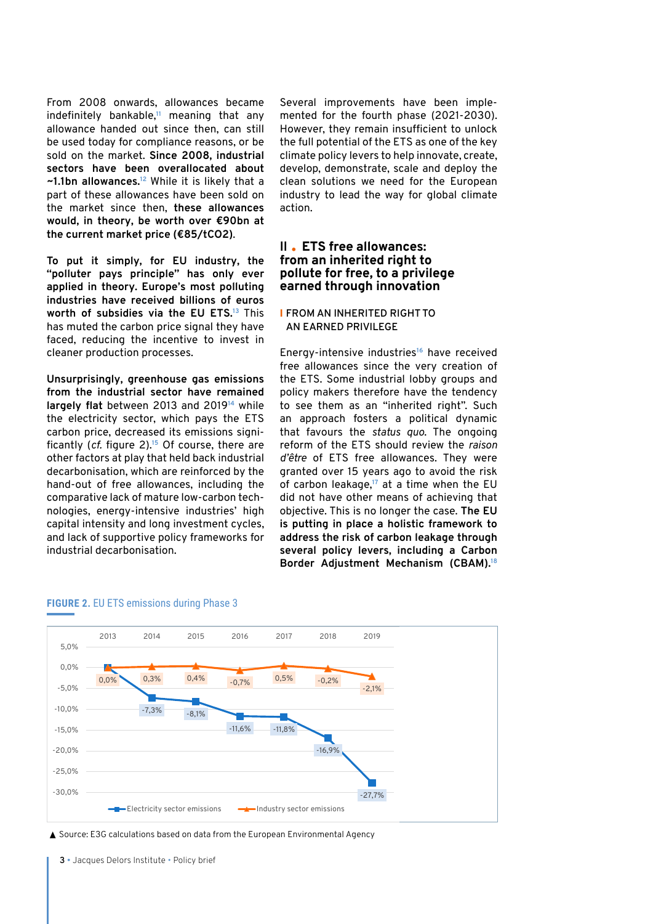<span id="page-2-0"></span>From 2008 onwards, allowances became indefinitely bankable,**[11](#page-5-0)** meaning that any allowance handed out since then, can still be used today for compliance reasons, or be sold on the market. **Since 2008, industrial sectors have been overallocated about ~1.1bn allowances.[12](#page-6-0)** While it is likely that a part of these allowances have been sold on the market since then, **these allowances would, in theory, be worth over €90bn at the current market price (€85/tCO2)**.

**To put it simply, for EU industry, the "polluter pays principle" has only ever applied in theory. Europe's most polluting industries have received billions of euros worth of subsidies via the EU ETS[.13](#page-6-0)** This has muted the carbon price signal they have faced, reducing the incentive to invest in cleaner production processes.

**Unsurprisingly, greenhouse gas emissions from the industrial sector have remained largely flat** between 2013 and 2019**[14](#page-6-0)** while the electricity sector, which pays the ETS carbon price, decreased its emissions significantly (*cf.* figure 2).**[15](#page-6-0)** Of course, there are other factors at play that held back industrial decarbonisation, which are reinforced by the hand-out of free allowances, including the comparative lack of mature low-carbon technologies, energy-intensive industries' high capital intensity and long investment cycles, and lack of supportive policy frameworks for industrial decarbonisation.

Several improvements have been implemented for the fourth phase (2021-2030). However, they remain insufficient to unlock the full potential of the ETS as one of the key climate policy levers to help innovate, create, develop, demonstrate, scale and deploy the clean solutions we need for the European industry to lead the way for global climate action.

# **II ETS free allowances: from an inherited right to pollute for free, to a privilege earned through innovation**

## I **FROM AN INHERITED RIGHT TO AN EARNED PRIVILEGE**

Energy-intensive industries**[16](#page-6-0)** have received free allowances since the very creation of the ETS. Some industrial lobby groups and policy makers therefore have the tendency to see them as an "inherited right". Such an approach fosters a political dynamic that favours the *status quo*. The ongoing reform of the ETS should review the *raison d'être* of ETS free allowances. They were granted over 15 years ago to avoid the risk of carbon leakage,**[17](#page-6-0)** at a time when the EU did not have other means of achieving that objective. This is no longer the case. **The EU is putting in place a holistic framework to address the risk of carbon leakage through several policy levers, including a Carbon Border Adjustment Mechanism (CBAM).[18](#page-6-0)**



#### **FIGURE 2.** EU ETS emissions during Phase 3

▲ Source: E3G calculations based on data from the European Environmental Agency

**3** • Jacques Delors Institute • Policy brief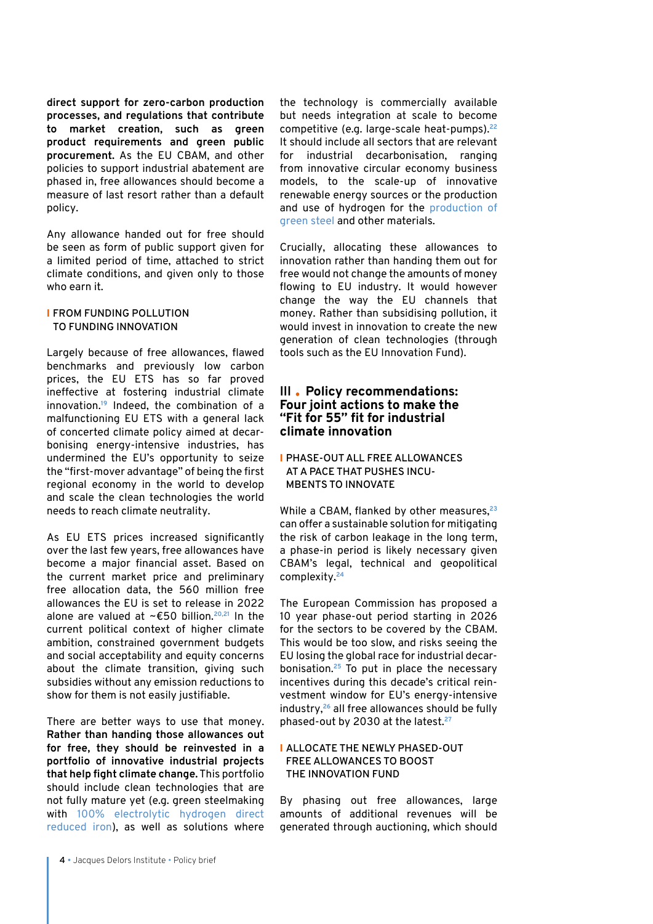<span id="page-3-0"></span>**direct support for zero-carbon production processes, and regulations that contribute to market creation, such as green product requirements and green public procurement.** As the EU CBAM, and other policies to support industrial abatement are phased in, free allowances should become a measure of last resort rather than a default policy.

Any allowance handed out for free should be seen as form of public support given for a limited period of time, attached to strict climate conditions, and given only to those who earn it.

# I **FROM FUNDING POLLUTION TO FUNDING INNOVATION**

Largely because of free allowances, flawed benchmarks and previously low carbon prices, the EU ETS has so far proved ineffective at fostering industrial climate innovation.**[19](#page-6-0)** Indeed, the combination of a malfunctioning EU ETS with a general lack of concerted climate policy aimed at decarbonising energy-intensive industries, has undermined the EU's opportunity to seize the "first-mover advantage" of being the first regional economy in the world to develop and scale the clean technologies the world needs to reach climate neutrality.

As EU ETS prices increased significantly over the last few years, free allowances have become a major financial asset. Based on the current market price and preliminary free allocation data, the 560 million free allowances the EU is set to release in 2022 alone are valued at ~€50 billion.**[20,21](#page-6-0)** In the current political context of higher climate ambition, constrained government budgets and social acceptability and equity concerns about the climate transition, giving such subsidies without any emission reductions to show for them is not easily justifiable.

There are better ways to use that money. **Rather than handing those allowances out for free, they should be reinvested in a portfolio of innovative industrial projects that help fight climate change.** This portfolio should include clean technologies that are not fully mature yet (e.g. green steelmaking with [100% electrolytic hydrogen direct](https://www.iea.org/articles/etp-clean-energy-technology-guide)  [reduced iron](https://www.iea.org/articles/etp-clean-energy-technology-guide)), as well as solutions where

the technology is commercially available but needs integration at scale to become competitive (e.g. large-scale heat-pumps).**[22](#page-6-0)** It should include all sectors that are relevant for industrial decarbonisation, ranging from innovative circular economy business models, to the scale-up of innovative renewable energy sources or the production and use of hydrogen for the [production](https://www.reuters.com/business/sustainable-business/swedens-hybrit-delivers-worlds-first-fossil-free-steel-2021-08-18/) of [green steel](https://www.reuters.com/business/sustainable-business/swedens-hybrit-delivers-worlds-first-fossil-free-steel-2021-08-18/) and other materials.

Crucially, allocating these allowances to innovation rather than handing them out for free would not change the amounts of money flowing to EU industry. It would however change the way the EU channels that money. Rather than subsidising pollution, it would invest in innovation to create the new generation of clean technologies (through tools such as the EU Innovation Fund).

# **III Policy recommendations: Four joint actions to make the "Fit for 55" fit for industrial climate innovation**

# I **PHASE-OUT ALL FREE ALLOWANCES AT A PACE THAT PUSHES INCU-MBENTS TO INNOVATE**

While a CBAM, flanked by other measures,**[23](#page-6-0)** can offer a sustainable solution for mitigating the risk of carbon leakage in the long term, a phase-in period is likely necessary given CBAM's legal, technical and geopolitical complexity.**[24](#page-6-0)**

The European Commission has proposed a 10 year phase-out period starting in 2026 for the sectors to be covered by the CBAM. This would be too slow, and risks seeing the EU losing the global race for industrial decarbonisation.**[25](#page-6-0)** To put in place the necessary incentives during this decade's critical reinvestment window for EU's energy-intensive industry,**[26](#page-6-0)** all free allowances should be fully phased-out by 2030 at the latest.**[27](#page-6-0)**

# I **ALLOCATE THE NEWLY PHASED-OUT FREE ALLOWANCES TO BOOST THE INNOVATION FUND**

By phasing out free allowances, large amounts of additional revenues will be generated through auctioning, which should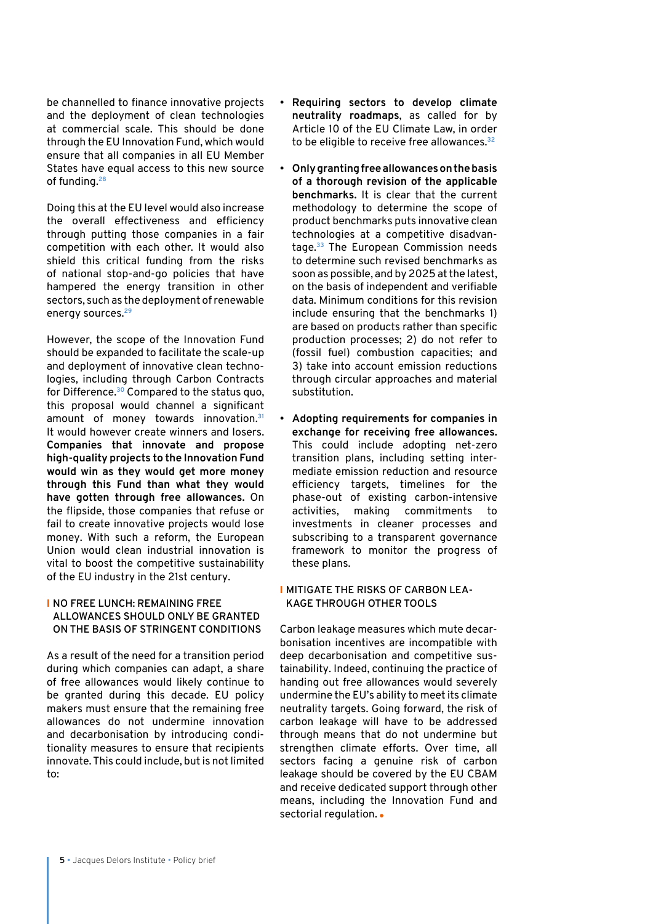<span id="page-4-0"></span>be channelled to finance innovative projects and the deployment of clean technologies at commercial scale. This should be done through the EU Innovation Fund, which would ensure that all companies in all EU Member States have equal access to this new source of funding.**[28](#page-6-0)**

Doing this at the EU level would also increase the overall effectiveness and efficiency through putting those companies in a fair competition with each other. It would also shield this critical funding from the risks of national stop-and-go policies that have hampered the energy transition in other sectors, such as the deployment of renewable energy sources.**[29](#page-6-0)**

However, the scope of the Innovation Fund should be expanded to facilitate the scale-up and deployment of innovative clean technologies, including through Carbon Contracts for Difference.**[30](#page-6-0)** Compared to the status quo, this proposal would channel a significant amount of money towards innovation.**[31](#page-6-0)** It would however create winners and losers. **Companies that innovate and propose high-quality projects to the Innovation Fund would win as they would get more money through this Fund than what they would have gotten through free allowances.** On the flipside, those companies that refuse or fail to create innovative projects would lose money. With such a reform, the European Union would clean industrial innovation is vital to boost the competitive sustainability of the EU industry in the 21st century.

# I **NO FREE LUNCH: REMAINING FREE ALLOWANCES SHOULD ONLY BE GRANTED ON THE BASIS OF STRINGENT CONDITIONS**

As a result of the need for a transition period during which companies can adapt, a share of free allowances would likely continue to be granted during this decade. EU policy makers must ensure that the remaining free allowances do not undermine innovation and decarbonisation by introducing conditionality measures to ensure that recipients innovate. This could include, but is not limited to:

- **Requiring sectors to develop climate neutrality roadmaps**, as called for by Article 10 of the EU Climate Law, in order to be eligible to receive free allowances.**[32](#page-6-0)**
- **Only granting free allowances on the basis of a thorough revision of the applicable benchmarks.** It is clear that the current methodology to determine the scope of product benchmarks puts innovative clean technologies at a competitive disadvantage.**[33](#page-6-0)** The European Commission needs to determine such revised benchmarks as soon as possible, and by 2025 at the latest, on the basis of independent and verifiable data. Minimum conditions for this revision include ensuring that the benchmarks 1) are based on products rather than specific production processes; 2) do not refer to (fossil fuel) combustion capacities; and 3) take into account emission reductions through circular approaches and material substitution.
- **Adopting requirements for companies in exchange for receiving free allowances.** This could include adopting net-zero transition plans, including setting intermediate emission reduction and resource efficiency targets, timelines for the phase-out of existing carbon-intensive activities, making commitments to investments in cleaner processes and subscribing to a transparent governance framework to monitor the progress of these plans.

# I **MITIGATE THE RISKS OF CARBON LEA-KAGE THROUGH OTHER TOOLS**

Carbon leakage measures which mute decarbonisation incentives are incompatible with deep decarbonisation and competitive sustainability. Indeed, continuing the practice of handing out free allowances would severely undermine the EU's ability to meet its climate neutrality targets. Going forward, the risk of carbon leakage will have to be addressed through means that do not undermine but strengthen climate efforts. Over time, all sectors facing a genuine risk of carbon leakage should be covered by the EU CBAM and receive dedicated support through other means, including the Innovation Fund and sectorial regulation. .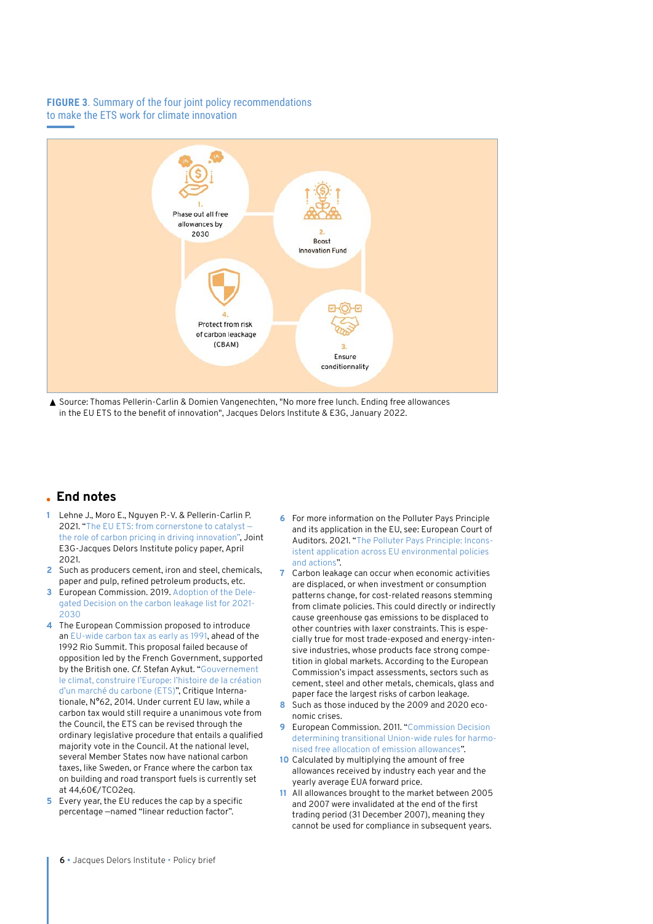# <span id="page-5-0"></span>**FIGURE 3**. Summary of the four joint policy recommendations to make the ETS work for climate innovation



▲ Source: Thomas Pellerin-Carlin & Domien Vangenechten, "No more free lunch. Ending free allowances in the EU ETS to the benefit of innovation", Jacques Delors Institute & E3G, January 2022.

# **End notes**

- **[1](#page-0-0)** Lehne J., Moro E., Nguyen P.-V. & Pellerin-Carlin P. 2021. "The EU ETS: from cornerstone to catalyst [the role of carbon pricing in driving innovation"](https://institutdelors.eu/wp-content/uploads/2021/04/JDI-E3G-paper_innovation-in-the-ETS_final.pdf), Joint E3G-Jacques Delors Institute policy paper, April 2021.
- **[2](#page-0-0)** Such as producers cement, iron and steel, chemicals, paper and pulp, refined petroleum products, etc.
- **[3](#page-0-0)** European Commission. 2019. [Adoption of the Dele](https://ec.europa.eu/clima/news-your-voice/news/adoption-delegated-decision-carbon-leakage-list-2021-2030-2019-02-15_en)[gated Decision on the carbon leakage list for 2021-](https://ec.europa.eu/clima/news-your-voice/news/adoption-delegated-decision-carbon-leakage-list-2021-2030-2019-02-15_en) [2030](https://ec.europa.eu/clima/news-your-voice/news/adoption-delegated-decision-carbon-leakage-list-2021-2030-2019-02-15_en)
- **[4](#page-0-0)** The European Commission proposed to introduce an [EU-wide carbon tax as early as 1991](https://ec.europa.eu/commission/presscorner/detail/en/P_92_29), ahead of the 1992 Rio Summit. This proposal failed because of opposition led by the French Government, supported by the British one. *Cf*. Stefan Aykut. "Gouvernement le climat, construire l'Europe: l'histoire de la création d'un marché du carbone (ETS)", Critique Internationale, N°62, 2014. Under current EU law, while a carbon tax would still require a unanimous vote from the Council, the ETS can be revised through the ordinary legislative procedure that entails a qualified majority vote in the Council. At the national level, several Member States now have national carbon taxes, like Sweden, or France where the carbon tax on building and road transport fuels is currently set at 44,60€/TCO2eq.
- **[5](#page-0-0)** Every year, the EU reduces the cap by a specific percentage —named "linear reduction factor".
- **6** For more information on the Polluter Pays Principle and its application in the EU, see: European Court of Auditors. 2021. "[The Polluter Pays Principle: Incons](https://www.eca.europa.eu/Lists/ECADocuments/SR21_12/SR_polluter_pays_principle_EN.pdf)[istent application across EU environmental policies](https://www.eca.europa.eu/Lists/ECADocuments/SR21_12/SR_polluter_pays_principle_EN.pdf)  [and actions"](https://www.eca.europa.eu/Lists/ECADocuments/SR21_12/SR_polluter_pays_principle_EN.pdf).
- **[7](#page-1-0)** Carbon leakage can occur when economic activities are displaced, or when investment or consumption patterns change, for cost-related reasons stemming from climate policies. This could directly or indirectly cause greenhouse gas emissions to be displaced to other countries with laxer constraints. This is especially true for most trade-exposed and energy-intensive industries, whose products face strong competition in global markets. According to the European Commission's impact assessments, sectors such as cement, steel and other metals, chemicals, glass and paper face the largest risks of carbon leakage.
- **[8](#page-1-0)** Such as those induced by the 2009 and 2020 economic crises.
- **[9](#page-1-0)** European Commission. 2011. "[Commission Decision](https://eur-lex.europa.eu/legal-content/EN/TXT/PDF/?uri=CELEX:32011D0278&from=EN)  [determining transitional Union-wide rules for harmo](https://eur-lex.europa.eu/legal-content/EN/TXT/PDF/?uri=CELEX:32011D0278&from=EN)[nised free allocation of emission allowances](https://eur-lex.europa.eu/legal-content/EN/TXT/PDF/?uri=CELEX:32011D0278&from=EN)".
- **10** Calculated by multiplying the amount of free allowances received by industry each year and the yearly average EUA forward price.
- **[11](#page-2-0)** All allowances brought to the market between 2005 and 2007 were invalidated at the end of the first trading period (31 December 2007), meaning they cannot be used for compliance in subsequent years.